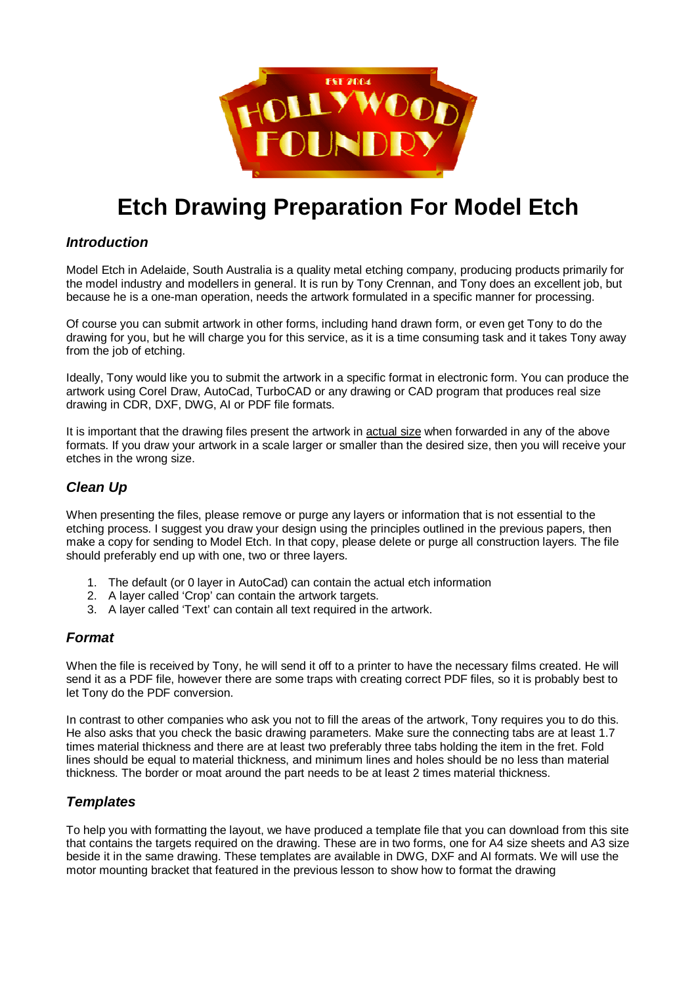

# **Etch Drawing Preparation For Model Etch**

### **Introduction**

Model Etch in Adelaide, South Australia is a quality metal etching company, producing products primarily for the model industry and modellers in general. It is run by Tony Crennan, and Tony does an excellent job, but because he is a one-man operation, needs the artwork formulated in a specific manner for processing.

Of course you can submit artwork in other forms, including hand drawn form, or even get Tony to do the drawing for you, but he will charge you for this service, as it is a time consuming task and it takes Tony away from the job of etching.

Ideally, Tony would like you to submit the artwork in a specific format in electronic form. You can produce the artwork using Corel Draw, AutoCad, TurboCAD or any drawing or CAD program that produces real size drawing in CDR, DXF, DWG, AI or PDF file formats.

It is important that the drawing files present the artwork in actual size when forwarded in any of the above formats. If you draw your artwork in a scale larger or smaller than the desired size, then you will receive your etches in the wrong size.

## **Clean Up**

When presenting the files, please remove or purge any layers or information that is not essential to the etching process. I suggest you draw your design using the principles outlined in the previous papers, then make a copy for sending to Model Etch. In that copy, please delete or purge all construction layers. The file should preferably end up with one, two or three layers.

- 1. The default (or 0 layer in AutoCad) can contain the actual etch information
- 2. A layer called 'Crop' can contain the artwork targets.
- 3. A layer called 'Text' can contain all text required in the artwork.

#### **Format**

When the file is received by Tony, he will send it off to a printer to have the necessary films created. He will send it as a PDF file, however there are some traps with creating correct PDF files, so it is probably best to let Tony do the PDF conversion.

In contrast to other companies who ask you not to fill the areas of the artwork, Tony requires you to do this. He also asks that you check the basic drawing parameters. Make sure the connecting tabs are at least 1.7 times material thickness and there are at least two preferably three tabs holding the item in the fret. Fold lines should be equal to material thickness, and minimum lines and holes should be no less than material thickness. The border or moat around the part needs to be at least 2 times material thickness.

#### **Templates**

To help you with formatting the layout, we have produced a template file that you can download from this site that contains the targets required on the drawing. These are in two forms, one for A4 size sheets and A3 size beside it in the same drawing. These templates are available in DWG, DXF and AI formats. We will use the motor mounting bracket that featured in the previous lesson to show how to format the drawing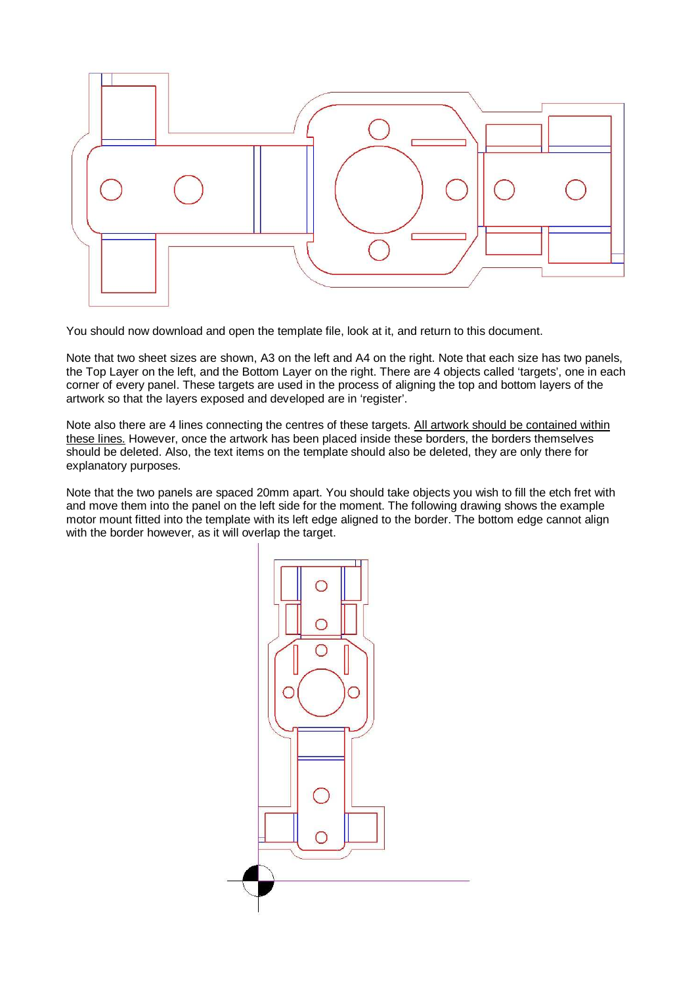

You should now download and open the template file, look at it, and return to this document.

Note that two sheet sizes are shown, A3 on the left and A4 on the right. Note that each size has two panels, the Top Layer on the left, and the Bottom Layer on the right. There are 4 objects called 'targets', one in each corner of every panel. These targets are used in the process of aligning the top and bottom layers of the artwork so that the layers exposed and developed are in 'register'.

Note also there are 4 lines connecting the centres of these targets. All artwork should be contained within these lines. However, once the artwork has been placed inside these borders, the borders themselves should be deleted. Also, the text items on the template should also be deleted, they are only there for explanatory purposes.

Note that the two panels are spaced 20mm apart. You should take objects you wish to fill the etch fret with and move them into the panel on the left side for the moment. The following drawing shows the example motor mount fitted into the template with its left edge aligned to the border. The bottom edge cannot align with the border however, as it will overlap the target.

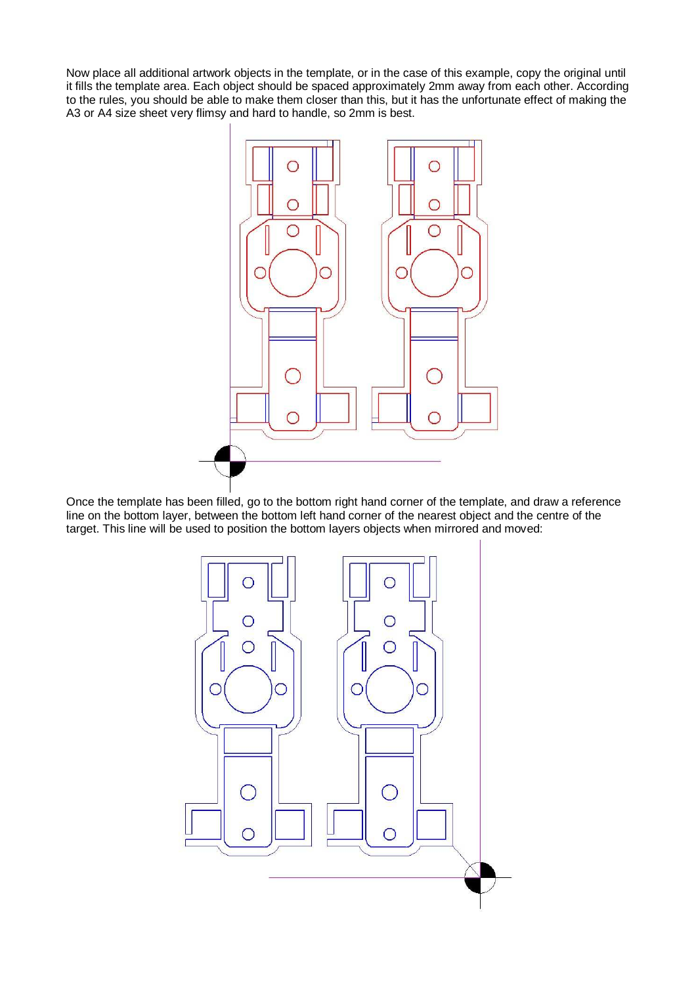Now place all additional artwork objects in the template, or in the case of this example, copy the original until it fills the template area. Each object should be spaced approximately 2mm away from each other. According to the rules, you should be able to make them closer than this, but it has the unfortunate effect of making the A3 or A4 size sheet very flimsy and hard to handle, so 2mm is best.



Once the template has been filled, go to the bottom right hand corner of the template, and draw a reference line on the bottom layer, between the bottom left hand corner of the nearest object and the centre of the target. This line will be used to position the bottom layers objects when mirrored and moved:

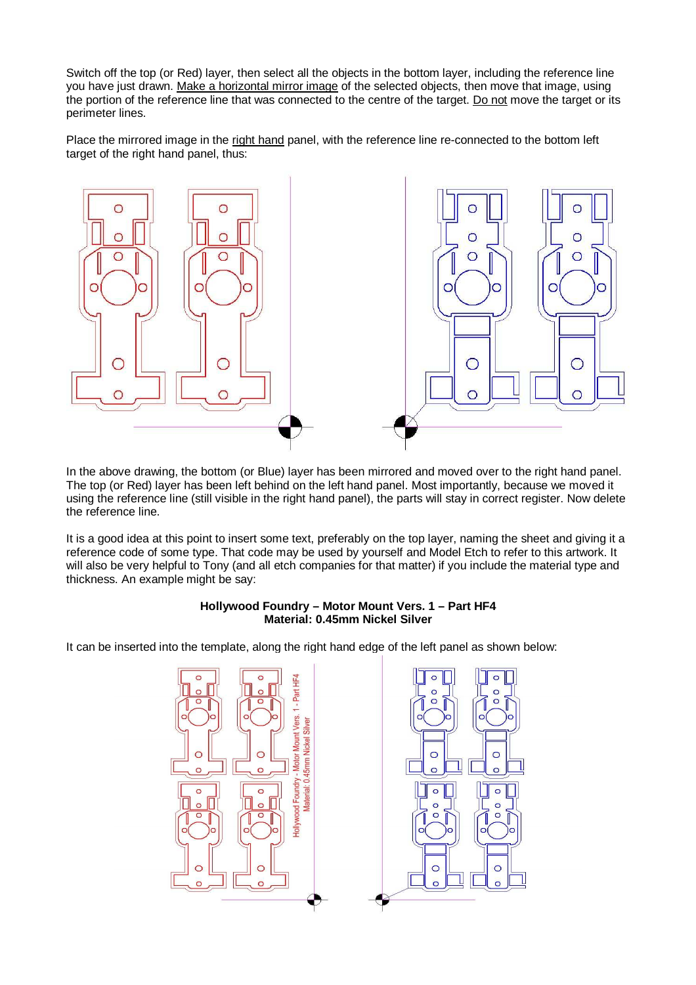Switch off the top (or Red) layer, then select all the objects in the bottom layer, including the reference line you have just drawn. Make a horizontal mirror image of the selected objects, then move that image, using the portion of the reference line that was connected to the centre of the target. Do not move the target or its perimeter lines.

Place the mirrored image in the right hand panel, with the reference line re-connected to the bottom left target of the right hand panel, thus:



In the above drawing, the bottom (or Blue) layer has been mirrored and moved over to the right hand panel. The top (or Red) layer has been left behind on the left hand panel. Most importantly, because we moved it using the reference line (still visible in the right hand panel), the parts will stay in correct register. Now delete the reference line.

It is a good idea at this point to insert some text, preferably on the top layer, naming the sheet and giving it a reference code of some type. That code may be used by yourself and Model Etch to refer to this artwork. It will also be very helpful to Tony (and all etch companies for that matter) if you include the material type and thickness. An example might be say:

#### **Hollywood Foundry – Motor Mount Vers. 1 – Part HF4 Material: 0.45mm Nickel Silver**

It can be inserted into the template, along the right hand edge of the left panel as shown below:



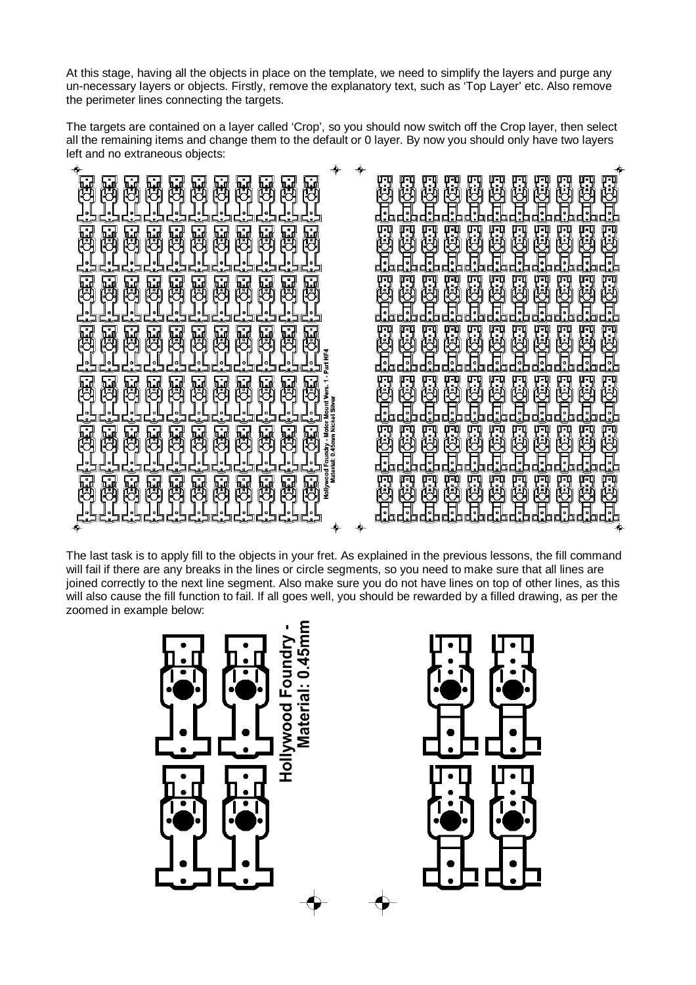At this stage, having all the objects in place on the template, we need to simplify the layers and purge any un-necessary layers or objects. Firstly, remove the explanatory text, such as 'Top Layer' etc. Also remove the perimeter lines connecting the targets.

The targets are contained on a layer called 'Crop', so you should now switch off the Crop layer, then select all the remaining items and change them to the default or 0 layer. By now you should only have two layers left and no extraneous objects:



The last task is to apply fill to the objects in your fret. As explained in the previous lessons, the fill command will fail if there are any breaks in the lines or circle segments, so you need to make sure that all lines are joined correctly to the next line segment. Also make sure you do not have lines on top of other lines, as this will also cause the fill function to fail. If all goes well, you should be rewarded by a filled drawing, as per the zoomed in example below: